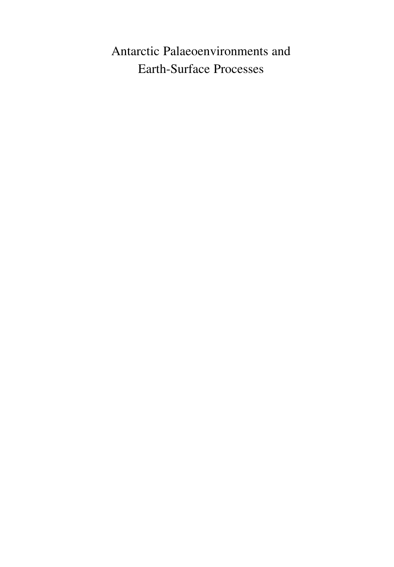Antarctic Palaeoenvironments and Earth-Surface Processes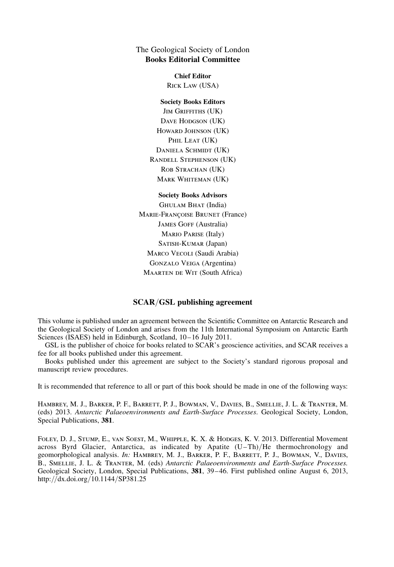## The Geological Society of London Books Editorial Committee

Chief Editor Rick Law (USA)

### Society Books Editors

Jim Griffiths (UK) DAVE HODGSON (UK) Howard Johnson (UK) PHIL LEAT (UK) Daniela Schmidt (UK) Randell Stephenson (UK) ROB STRACHAN (UK) Mark Whiteman (UK)

### Society Books Advisors

Ghulam Bhat (India) MARIE-FRANÇOISE BRUNET (France) JAMES GOFF (Australia) Mario Parise (Italy) Satish-Kumar (Japan) Marco Vecoli (Saudi Arabia) Gonzalo Veiga (Argentina) Maarten de Wit (South Africa)

### SCAR/GSL publishing agreement

This volume is published under an agreement between the Scientific Committee on Antarctic Research and the Geological Society of London and arises from the 11th International Symposium on Antarctic Earth Sciences (ISAES) held in Edinburgh, Scotland, 10–16 July 2011.

GSL is the publisher of choice for books related to SCAR's geoscience activities, and SCAR receives a fee for all books published under this agreement.

Books published under this agreement are subject to the Society's standard rigorous proposal and manuscript review procedures.

It is recommended that reference to all or part of this book should be made in one of the following ways:

Hambrey, M. J., Barker, P. F., Barrett, P. J., Bowman, V., Davies, B., Smellie, J. L. & Tranter, M. (eds) 2013. Antarctic Palaeoenvironments and Earth-Surface Processes. Geological Society, London, Special Publications, 381.

Foley, D. J., Stump, E., van Soest, M., Whipple, K. X. & Hodges, K. V. 2013. Differential Movement across Byrd Glacier, Antarctica, as indicated by Apatite  $(U-Th)/He$  thermochronology and geomorphological analysis. In: HAMBREY, M. J., BARKER, P. F., BARRETT, P. J., BOWMAN, V., DAVIES, B., Smellie, J. L. & Tranter, M. (eds) Antarctic Palaeoenvironments and Earth-Surface Processes. Geological Society, London, Special Publications, 381, 39 –46. First published online August 6, 2013, http://dx.doi.org/10.1144/SP381.25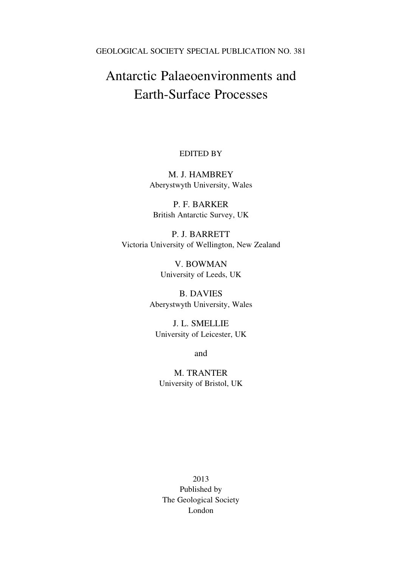GEOLOGICAL SOCIETY SPECIAL PUBLICATION NO. 381

# Antarctic Palaeoenvironments and Earth-Surface Processes

# EDITED BY

M. J. HAMBREY Aberystwyth University, Wales

P. F. BARKER British Antarctic Survey, UK

P. J. BARRETT Victoria University of Wellington, New Zealand

> V. BOWMAN University of Leeds, UK

B. DAVIES Aberystwyth University, Wales

J. L. SMELLIE University of Leicester, UK

and

M. TRANTER University of Bristol, UK

2013 Published by The Geological Society London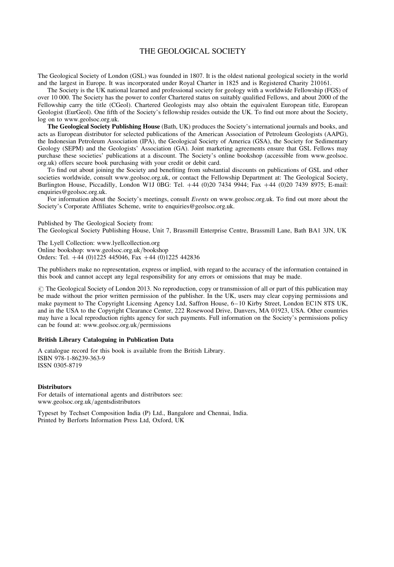### THE GEOLOGICAL SOCIETY

The Geological Society of London (GSL) was founded in 1807. It is the oldest national geological society in the world and the largest in Europe. It was incorporated under Royal Charter in 1825 and is Registered Charity 210161.

The Society is the UK national learned and professional society for geology with a worldwide Fellowship (FGS) of over 10 000. The Society has the power to confer Chartered status on suitably qualified Fellows, and about 2000 of the Fellowship carry the title (CGeol). Chartered Geologists may also obtain the equivalent European title, European Geologist (EurGeol). One fifth of the Society's fellowship resides outside the UK. To find out more about the Society, log on to www.geolsoc.org.uk.

The Geological Society Publishing House (Bath, UK) produces the Society's international journals and books, and acts as European distributor for selected publications of the American Association of Petroleum Geologists (AAPG), the Indonesian Petroleum Association (IPA), the Geological Society of America (GSA), the Society for Sedimentary Geology (SEPM) and the Geologists' Association (GA). Joint marketing agreements ensure that GSL Fellows may purchase these societies' publications at a discount. The Society's online bookshop (accessible from www.geolsoc. org.uk) offers secure book purchasing with your credit or debit card.

To find out about joining the Society and benefiting from substantial discounts on publications of GSL and other societies worldwide, consult www.geolsoc.org.uk, or contact the Fellowship Department at: The Geological Society, Burlington House, Piccadilly, London W1J 0BG: Tel. +44 (0)20 7434 9944; Fax +44 (0)20 7439 8975; E-mail: enquiries@geolsoc.org.uk.

For information about the Society's meetings, consult Events on www.geolsoc.org.uk. To find out more about the Society's Corporate Affiliates Scheme, write to enquiries@geolsoc.org.uk.

Published by The Geological Society from: The Geological Society Publishing House, Unit 7, Brassmill Enterprise Centre, Brassmill Lane, Bath BA1 3JN, UK

The Lyell Collection: www.lyellcollection.org Online bookshop: www.geolsoc.org.uk/bookshop Orders: Tel.  $\pm$ 44 (0)1225 445046, Fax  $\pm$ 44 (0)1225 442836

The publishers make no representation, express or implied, with regard to the accuracy of the information contained in this book and cannot accept any legal responsibility for any errors or omissions that may be made.

 $\odot$  The Geological Society of London 2013. No reproduction, copy or transmission of all or part of this publication may be made without the prior written permission of the publisher. In the UK, users may clear copying permissions and make payment to The Copyright Licensing Agency Ltd, Saffron House, 6– 10 Kirby Street, London EC1N 8TS UK, and in the USA to the Copyright Clearance Center, 222 Rosewood Drive, Danvers, MA 01923, USA. Other countries may have a local reproduction rights agency for such payments. Full information on the Society's permissions policy can be found at: www.geolsoc.org.uk/permissions

### British Library Cataloguing in Publication Data

A catalogue record for this book is available from the British Library. ISBN 978-1-86239-363-9 ISSN 0305-8719

#### **Distributors**

For details of international agents and distributors see: www.geolsoc.org.uk/agentsdistributors

Typeset by Techset Composition India (P) Ltd., Bangalore and Chennai, India. Printed by Berforts Information Press Ltd, Oxford, UK